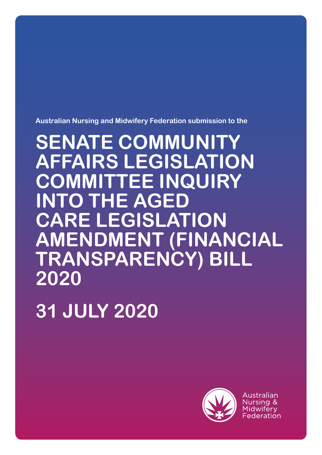**Australian Nursing and Midwifery Federation submission to the**

**SENATE COMMUNITY AFFAIRS LEGISLATION COMMITTEE INQUIRY INTO THE AGED CARE LEGISLATION AMENDMENT (FINANCIAL TRANSPARENCY) BILL 2020**

**31 JULY 2020**



Australian Midwiferv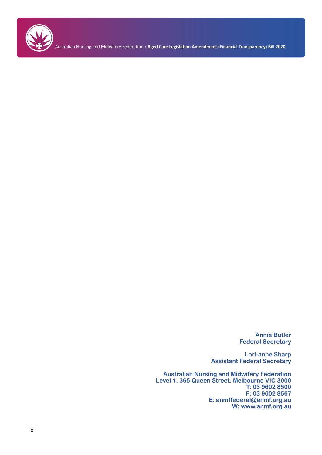

**Annie Butler Federal Secretary**

**Lori-anne Sharp Assistant Federal Secretary**

**Australian Nursing and Midwifery Federation Level 1, 365 Queen Street, Melbourne VIC 3000 T: 03 9602 8500 F: 03 9602 8567 E: anmffederal@anmf.org.au W: www.anmf.org.au**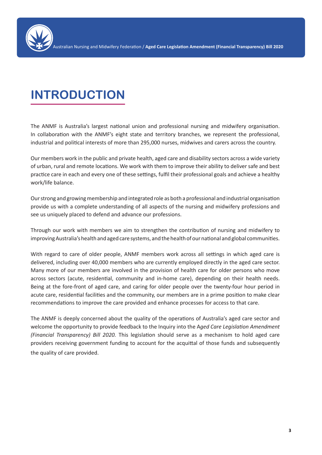

# **INTRODUCTION**

The ANMF is Australia's largest national union and professional nursing and midwifery organisation. In collaboration with the ANMF's eight state and territory branches, we represent the professional, industrial and political interests of more than 295,000 nurses, midwives and carers across the country.

Our members work in the public and private health, aged care and disability sectors across a wide variety of urban, rural and remote locations. We work with them to improve their ability to deliver safe and best practice care in each and every one of these settings, fulfil their professional goals and achieve a healthy work/life balance.

Our strong and growing membership and integrated role as both a professional and industrial organisation provide us with a complete understanding of all aspects of the nursing and midwifery professions and see us uniquely placed to defend and advance our professions.

Through our work with members we aim to strengthen the contribution of nursing and midwifery to improving Australia's health and aged care systems, and the health of our national and global communities.

With regard to care of older people, ANMF members work across all settings in which aged care is delivered, including over 40,000 members who are currently employed directly in the aged care sector. Many more of our members are involved in the provision of health care for older persons who move across sectors (acute, residential, community and in-home care), depending on their health needs. Being at the fore-front of aged care, and caring for older people over the twenty-four hour period in acute care, residential facilities and the community, our members are in a prime position to make clear recommendations to improve the care provided and enhance processes for access to that care.

The ANMF is deeply concerned about the quality of the operations of Australia's aged care sector and welcome the opportunity to provide feedback to the Inquiry into the A*ged Care Legislation Amendment (Financial Transparency) Bill 2020.* This legislation should serve as a mechanism to hold aged care providers receiving government funding to account for the acquittal of those funds and subsequently the quality of care provided.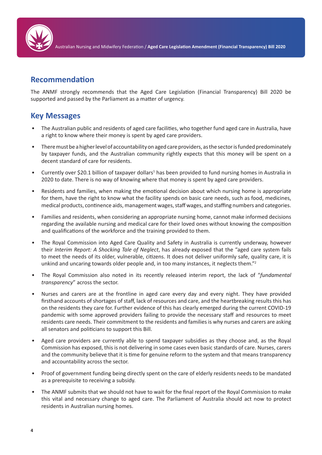

### **Recommendation**

The ANMF strongly recommends that the Aged Care Legislation (Financial Transparency) Bill 2020 be supported and passed by the Parliament as a matter of urgency.

### **Key Messages**

- The Australian public and residents of aged care facilities, who together fund aged care in Australia, have a right to know where their money is spent by aged care providers.
- There must be a higher level of accountability on aged care providers, as the sector is funded predominately by taxpayer funds, and the Australian community rightly expects that this money will be spent on a decent standard of care for residents.
- Currently over \$20.1 billion of taxpayer dollars<sup>1</sup> has been provided to fund nursing homes in Australia in 2020 to date. There is no way of knowing where that money is spent by aged care providers.
- Residents and families, when making the emotional decision about which nursing home is appropriate for them, have the right to know what the facility spends on basic care needs, such as food, medicines, medical products, continence aids, management wages, staff wages, and staffing numbers and categories.
- Families and residents, when considering an appropriate nursing home, cannot make informed decisions regarding the available nursing and medical care for their loved ones without knowing the composition and qualifications of the workforce and the training provided to them.
- The Royal Commission into Aged Care Quality and Safety in Australia is currently underway, however their *Interim Report: A Shocking Tale of Neglect*, has already exposed that the "aged care system fails to meet the needs of its older, vulnerable, citizens. It does not deliver uniformly safe, quality care, it is unkind and uncaring towards older people and, in too many instances, it neglects them."<sup>2</sup>
- The Royal Commission also noted in its recently released interim report, the lack of "*fundamental transparency*" across the sector.
- Nurses and carers are at the frontline in aged care every day and every night. They have provided firsthand accounts of shortages of staff, lack of resources and care, and the heartbreaking results this has on the residents they care for. Further evidence of this has clearly emerged during the current COVID-19 pandemic with some approved providers failing to provide the necessary staff and resources to meet residents care needs. Their commitment to the residents and families is why nurses and carers are asking all senators and politicians to support this Bill.
- Aged care providers are currently able to spend taxpayer subsidies as they choose and, as the Royal Commission has exposed, this is not delivering in some cases even basic standards of care. Nurses, carers and the community believe that it is time for genuine reform to the system and that means transparency and accountability across the sector.
- Proof of government funding being directly spent on the care of elderly residents needs to be mandated as a prerequisite to receiving a subsidy.
- The ANMF submits that we should not have to wait for the final report of the Royal Commission to make this vital and necessary change to aged care. The Parliament of Australia should act now to protect residents in Australian nursing homes.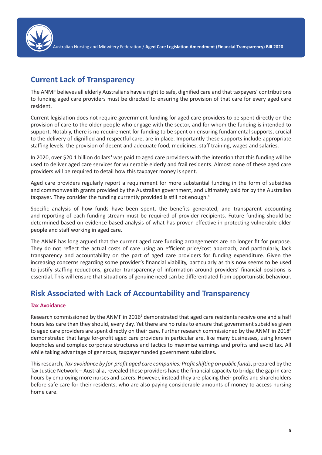

### **Current Lack of Transparency**

The ANMF believes all elderly Australians have a right to safe, dignified care and that taxpayers' contributions to funding aged care providers must be directed to ensuring the provision of that care for every aged care resident.

Current legislation does not require government funding for aged care providers to be spent directly on the provision of care to the older people who engage with the sector, and for whom the funding is intended to support. Notably, there is no requirement for funding to be spent on ensuring fundamental supports, crucial to the delivery of dignified and respectful care, are in place. Importantly these supports include appropriate staffing levels, the provision of decent and adequate food, medicines, staff training, wages and salaries.

In 2020, over \$20.1 billion dollars<sup>3</sup> was paid to aged care providers with the intention that this funding will be used to deliver aged care services for vulnerable elderly and frail residents. Almost none of these aged care providers will be required to detail how this taxpayer money is spent.

Aged care providers regularly report a requirement for more substantial funding in the form of subsidies and commonwealth grants provided by the Australian government, and ultimately paid for by the Australian taxpayer. They consider the funding currently provided is still not enough.4

Specific analysis of how funds have been spent, the benefits generated, and transparent accounting and reporting of each funding stream must be required of provider recipients. Future funding should be determined based on evidence-based analysis of what has proven effective in protecting vulnerable older people and staff working in aged care.

The ANMF has long argued that the current aged care funding arrangements are no longer fit for purpose. They do not reflect the actual costs of care using an efficient price/cost approach, and particularly, lack transparency and accountability on the part of aged care providers for funding expenditure. Given the increasing concerns regarding some provider's financial viability, particularly as this now seems to be used to justify staffing reductions, greater transparency of information around providers' financial positions is essential. This will ensure that situations of genuine need can be differentiated from opportunistic behaviour.

## **Risk Associated with Lack of Accountability and Transparency**

#### **Tax Avoidance**

Research commissioned by the ANMF in 2016<sup>5</sup> demonstrated that aged care residents receive one and a half hours less care than they should, every day. Yet there are no rules to ensure that government subsidies given to aged care providers are spent directly on their care. Further research commissioned by the ANMF in 2018<sup>6</sup> demonstrated that large for-profit aged care providers in particular are, like many businesses, using known loopholes and complex corporate structures and tactics to maximise earnings and profits and avoid tax. All while taking advantage of generous, taxpayer funded government subsidises.

This research, *Tax avoidance by for-profit aged care companies: Profit shifting on public funds*, prepared by the Tax Justice Network – Australia, revealed these providers have the financial capacity to bridge the gap in care hours by employing more nurses and carers. However, instead they are placing their profits and shareholders before safe care for their residents, who are also paying considerable amounts of money to access nursing home care.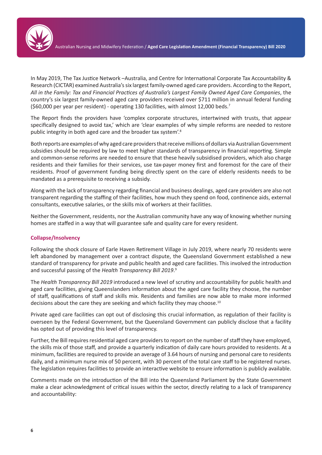

In May 2019, The Tax Justice Network –Australia, and Centre for International Corporate Tax Accountability & Research (CICTAR) examined Australia's six largest family-owned aged care providers. According to the Report, *All in the Family: Tax and Financial Practices of Australia's Largest Family Owned Aged Care Companies*, the country's six largest family-owned aged care providers received over \$711 million in annual federal funding (\$60,000 per year per resident) - operating 130 facilities, with almost 12,000 beds.7

The Report finds the providers have 'complex corporate structures, intertwined with trusts, that appear specifically designed to avoid tax,' which are 'clear examples of why simple reforms are needed to restore public integrity in both aged care and the broader tax system'.8

Both reports are examples of why aged care providers that receive millions of dollars via Australian Government subsidies should be required by law to meet higher standards of transparency in financial reporting. Simple and common-sense reforms are needed to ensure that these heavily subsidised providers, which also charge residents and their families for their services, use tax-payer money first and foremost for the care of their residents. Proof of government funding being directly spent on the care of elderly residents needs to be mandated as a prerequisite to receiving a subsidy.

Along with the lack of transparency regarding financial and business dealings, aged care providers are also not transparent regarding the staffing of their facilities, how much they spend on food, continence aids, external consultants, executive salaries, or the skills mix of workers at their facilities.

Neither the Government, residents, nor the Australian community have any way of knowing whether nursing homes are staffed in a way that will guarantee safe and quality care for every resident.

#### **Collapse/Insolvency**

Following the shock closure of Earle Haven Retirement Village in July 2019, where nearly 70 residents were left abandoned by management over a contract dispute, the Queensland Government established a new standard of transparency for private and public health and aged care facilities. This involved the introduction and successful passing of the *Health Transparency Bill 2019*. 9

The *Health Transparency Bill 2019* introduced a new level of scrutiny and accountability for public health and aged care facilities, giving Queenslanders information about the aged care facility they choose, the number of staff, qualifications of staff and skills mix. Residents and families are now able to make more informed decisions about the care they are seeking and which facility they may choose.<sup>10</sup>

Private aged care facilities can opt out of disclosing this crucial information, as regulation of their facility is overseen by the Federal Government, but the Queensland Government can publicly disclose that a facility has opted out of providing this level of transparency.

Further, the Bill requires residential aged care providers to report on the number of staff they have employed, the skills mix of those staff, and provide a quarterly indication of daily care hours provided to residents. At a minimum, facilities are required to provide an average of 3.64 hours of nursing and personal care to residents daily, and a minimum nurse mix of 50 percent, with 30 percent of the total care staff to be registered nurses. The legislation requires facilities to provide an interactive website to ensure information is publicly available.

Comments made on the introduction of the Bill into the Queensland Parliament by the State Government make a clear acknowledgment of critical issues within the sector, directly relating to a lack of transparency and accountability: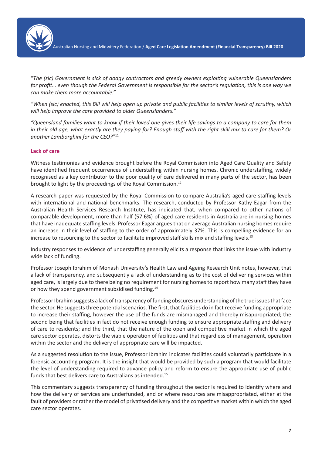

"*The (sic) Government is sick of dodgy contractors and greedy owners exploiting vulnerable Queenslanders for profit… even though the Federal Government is responsible for the sector's regulation, this is one way we can make them more accountable."*

*"When (sic) enacted, this Bill will help open up private and public facilities to similar levels of scrutiny, which will help improve the care provided to older Queenslanders."*

*"Queensland families want to know if their loved one gives their life savings to a company to care for them in their old age, what exactly are they paying for? Enough staff with the right skill mix to care for them? Or another Lamborghini for the CEO?*"11

#### **Lack of care**

Witness testimonies and evidence brought before the Royal Commission into Aged Care Quality and Safety have identified frequent occurrences of understaffing within nursing homes. Chronic understaffing, widely recognised as a key contributor to the poor quality of care delivered in many parts of the sector, has been brought to light by the proceedings of the Royal Commission.12

A research paper was requested by the Royal Commission to compare Australia's aged care staffing levels with international and national benchmarks. The research, conducted by Professor Kathy Eagar from the Australian Health Services Research Institute, has indicated that, when compared to other nations of comparable development, more than half (57.6%) of aged care residents in Australia are in nursing homes that have inadequate staffing levels. Professor Eagar argues that on average Australian nursing homes require an increase in their level of staffing to the order of approximately 37%. This is compelling evidence for an increase to resourcing to the sector to facilitate improved staff skills mix and staffing levels.<sup>13</sup>

Industry responses to evidence of understaffing generally elicits a response that links the issue with industry wide lack of funding.

Professor Joseph Ibrahim of Monash University's Health Law and Ageing Research Unit notes, however, that a lack of transparency, and subsequently a lack of understanding as to the cost of delivering services within aged care, is largely due to there being no requirement for nursing homes to report how many staff they have or how they spend government subsidised funding.14

Professor Ibrahim suggests a lack of transparency of funding obscures understanding of the true issues that face the sector. He suggests three potential scenarios. The first, that facilities do in fact receive funding appropriate to increase their staffing, however the use of the funds are mismanaged and thereby misappropriated; the second being that facilities in fact do not receive enough funding to ensure appropriate staffing and delivery of care to residents; and the third, that the nature of the open and competitive market in which the aged care sector operates, distorts the viable operation of facilities and that regardless of management, operation within the sector and the delivery of appropriate care will be impacted.

As a suggested resolution to the issue, Professor Ibrahim indicates facilities could voluntarily participate in a forensic accounting program. It is the insight that would be provided by such a program that would facilitate the level of understanding required to advance policy and reform to ensure the appropriate use of public funds that best delivers care to Australians as intended.<sup>15</sup>

This commentary suggests transparency of funding throughout the sector is required to identify where and how the delivery of services are underfunded, and or where resources are misappropriated, either at the fault of providers or rather the model of privatised delivery and the competitive market within which the aged care sector operates.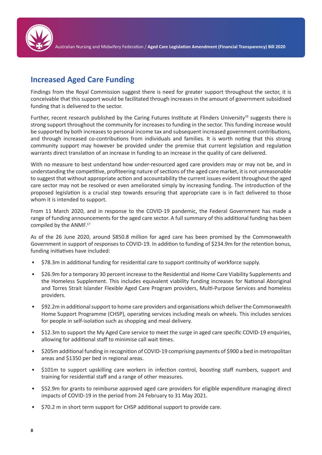

## **Increased Aged Care Funding**

Findings from the Royal Commission suggest there is need for greater support throughout the sector, it is conceivable that this support would be facilitated through increases in the amount of government subsidised funding that is delivered to the sector.

Further, recent research published by the Caring Futures Institute at Flinders University<sup>16</sup> suggests there is strong support throughout the community for increases to funding in the sector. This funding increase would be supported by both increases to personal income tax and subsequent increased government contributions, and through increased co-contributions from individuals and families. It is worth noting that this strong community support may however be provided under the premise that current legislation and regulation warrants direct translation of an increase in funding to an increase in the quality of care delivered.

With no measure to best understand how under-resourced aged care providers may or may not be, and in understanding the competitive, profiteering nature of sections of the aged care market, it is not unreasonable to suggest that without appropriate action and accountability the current issues evident throughout the aged care sector may not be resolved or even ameliorated simply by increasing funding. The introduction of the proposed legislation is a crucial step towards ensuring that appropriate care is in fact delivered to those whom it is intended to support.

From 11 March 2020, and in response to the COVID-19 pandemic, the Federal Government has made a range of funding announcements for the aged care sector. A full summary of this additional funding has been compiled by the ANMF.17

As of the 26 June 2020, around \$850.8 million for aged care has been promised by the Commonwealth Government in support of responses to COVID-19. In addition to funding of \$234.9m for the retention bonus, funding initiatives have included:

- \$78.3m in additional funding for residential care to support continuity of workforce supply.
- \$26.9m for a temporary 30 percent increase to the Residential and Home Care Viability Supplements and the Homeless Supplement. This includes equivalent viability funding increases for National Aboriginal and Torres Strait Islander Flexible Aged Care Program providers, Multi-Purpose Services and homeless providers.
- \$92.2m in additional support to home care providers and organisations which deliver the Commonwealth Home Support Programme (CHSP), operating services including meals on wheels. This includes services for people in self-isolation such as shopping and meal delivery.
- \$12.3m to support the My Aged Care service to meet the surge in aged care specific COVID-19 enquiries, allowing for additional staff to minimise call wait times.
- \$205m additional funding in recognition of COVID-19 comprising payments of \$900 a bed in metropolitan areas and \$1350 per bed in regional areas.
- \$101m to support upskilling care workers in infection control, boosting staff numbers, support and training for residential staff and a range of other measures.
- \$52.9m for grants to reimburse approved aged care providers for eligible expenditure managing direct impacts of COVID-19 in the period from 24 February to 31 May 2021.
- \$70.2 m in short term support for CHSP additional support to provide care.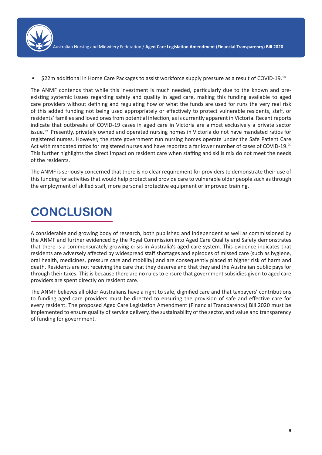

• \$22m additional in Home Care Packages to assist workforce supply pressure as a result of COVID-19.18

The ANMF contends that while this investment is much needed, particularly due to the known and preexisting systemic issues regarding safety and quality in aged care, making this funding available to aged care providers without defining and regulating how or what the funds are used for runs the very real risk of this added funding not being used appropriately or effectively to protect vulnerable residents, staff, or residents' families and loved ones from potential infection, as is currently apparent in Victoria. Recent reports indicate that outbreaks of COVID-19 cases in aged care in Victoria are almost exclusively a private sector issue.19 Presently, privately owned and operated nursing homes in Victoria do not have mandated ratios for registered nurses. However, the state government run nursing homes operate under the Safe Patient Care Act with mandated ratios for registered nurses and have reported a far lower number of cases of COVID-19.<sup>20</sup> This further highlights the direct impact on resident care when staffing and skills mix do not meet the needs of the residents.

The ANMF is seriously concerned that there is no clear requirement for providers to demonstrate their use of this funding for activities that would help protect and provide care to vulnerable older people such as through the employment of skilled staff, more personal protective equipment or improved training.

# **CONCLUSION**

A considerable and growing body of research, both published and independent as well as commissioned by the ANMF and further evidenced by the Royal Commission into Aged Care Quality and Safety demonstrates that there is a commensurately growing crisis in Australia's aged care system. This evidence indicates that residents are adversely affected by widespread staff shortages and episodes of missed care (such as hygiene, oral health, medicines, pressure care and mobility) and are consequently placed at higher risk of harm and death. Residents are not receiving the care that they deserve and that they and the Australian public pays for through their taxes. This is because there are no rules to ensure that government subsidies given to aged care providers are spent directly on resident care.

The ANMF believes all older Australians have a right to safe, dignified care and that taxpayers' contributions to funding aged care providers must be directed to ensuring the provision of safe and effective care for every resident. The proposed Aged Care Legislation Amendment (Financial Transparency) Bill 2020 must be implemented to ensure quality of service delivery, the sustainability of the sector, and value and transparency of funding for government.